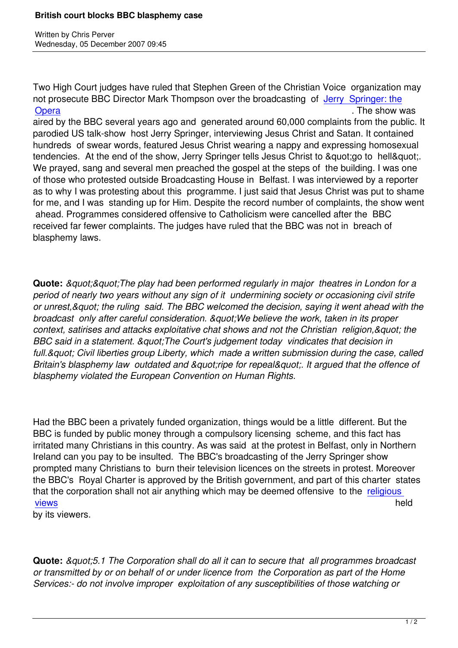Written by Christian by Christian by Christian by Christian by Christian by Christian by Chris Perus

Two High Court judges have ruled that Stephen Green of the Christian Voice organization may not prosecute BBC Director Mark Thompson over the broadcasting of Jerry Springer: the **Opera** . The show was . The show was . The show was . The show was . The show was . The show was . The show was . The show was . The show was . The show was . The show was . The show was . The show was . The show was . Th

aired by the BBC several years ago and generated around 60,000 complaints from the public. It parodied US talk-show host Jerry Springer, interviewing Jesus Christ a[nd Satan. It contain](http://uk.reuters.com/article/topNews/idUKL0554775920071205?feedType=RSS&feedName=topNews)ed [hundre](http://uk.reuters.com/article/topNews/idUKL0554775920071205?feedType=RSS&feedName=topNews)ds of swear words, featured Jesus Christ wearing a nappy and expressing homosexual tendencies. At the end of the show, Jerry Springer tells Jesus Christ to "go to hell". We prayed, sang and several men preached the gospel at the steps of the building. I was one of those who protested outside Broadcasting House in Belfast. I was interviewed by a reporter as to why I was protesting about this programme. I just said that Jesus Christ was put to shame for me, and I was standing up for Him. Despite the record number of complaints, the show went ahead. Programmes considered offensive to Catholicism were cancelled after the BBC received far fewer complaints. The judges have ruled that the BBC was not in breach of blasphemy laws.

**Quote:** *&guot;&guot;The play had been performed regularly in major theatres in London for a period of nearly two years without any sign of it undermining society or occasioning civil strife or unrest," the ruling said. The BBC welcomed the decision, saying it went ahead with the broadcast only after careful consideration. & quot: We believe the work, taken in its proper context, satirises and attacks exploitative chat shows and not the Christian religion, & quot; the BBC said in a statement. & quot; The Court's judgement today vindicates that decision in* full. & *quot; Civil liberties group Liberty, which made a written submission during the case, called Britain's blasphemy law outdated and "ripe for repeal". It argued that the offence of blasphemy violated the European Convention on Human Rights.*

Had the BBC been a privately funded organization, things would be a little different. But the BBC is funded by public money through a compulsory licensing scheme, and this fact has irritated many Christians in this country. As was said at the protest in Belfast, only in Northern Ireland can you pay to be insulted. The BBC's broadcasting of the Jerry Springer show prompted many Christians to burn their television licences on the streets in protest. Moreover the BBC's Royal Charter is approved by the British government, and part of this charter states that the corporation shall not air anything which may be deemed offensive to the religious views held and the contract of the contract of the contract of the contract of the contract of the contract of

by its viewers.

**Quote:** & *auot:5.1 The Corporation shall do all it can to secure that all programmes broadcast or transmitted by or on behalf of or under licence from the Corporation as part of the Home Services:- do not involve improper exploitation of any susceptibilities of those watching or*